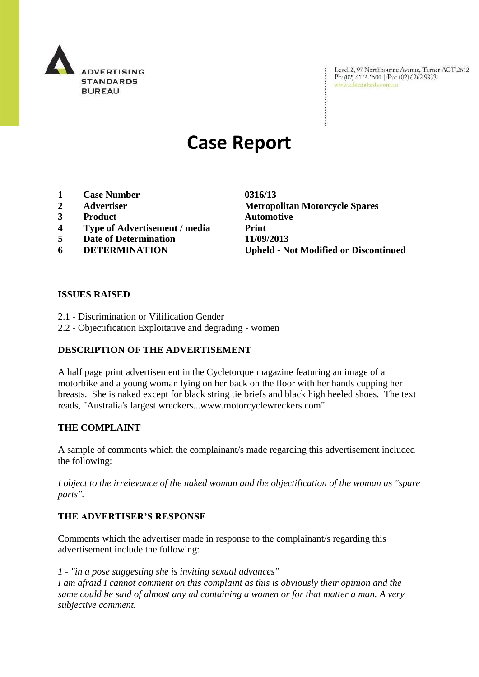

Level 2, 97 Northbourne Avenue, Turner ACT 2612 Ph: (02) 6173 1500 | Fax: (02) 6262 9833 www.adstandards.com.au

# **Case Report**

- **1 Case Number 0316/13**
- 
- **3 Product Automotive**
- **4 Type of Advertisement / media Print**
- **5 Date of Determination 11/09/2013**
- 

**2 Advertiser Metropolitan Motorcycle Spares 6 DETERMINATION Upheld - Not Modified or Discontinued**

#### **ISSUES RAISED**

- 2.1 Discrimination or Vilification Gender
- 2.2 Objectification Exploitative and degrading women

## **DESCRIPTION OF THE ADVERTISEMENT**

A half page print advertisement in the Cycletorque magazine featuring an image of a motorbike and a young woman lying on her back on the floor with her hands cupping her breasts. She is naked except for black string tie briefs and black high heeled shoes. The text reads, "Australia's largest wreckers...www.motorcyclewreckers.com".

#### **THE COMPLAINT**

A sample of comments which the complainant/s made regarding this advertisement included the following:

*I object to the irrelevance of the naked woman and the objectification of the woman as "spare parts".*

#### **THE ADVERTISER'S RESPONSE**

Comments which the advertiser made in response to the complainant/s regarding this advertisement include the following:

*1 - "in a pose suggesting she is inviting sexual advances"*

*I am afraid I cannot comment on this complaint as this is obviously their opinion and the same could be said of almost any ad containing a women or for that matter a man. A very subjective comment.*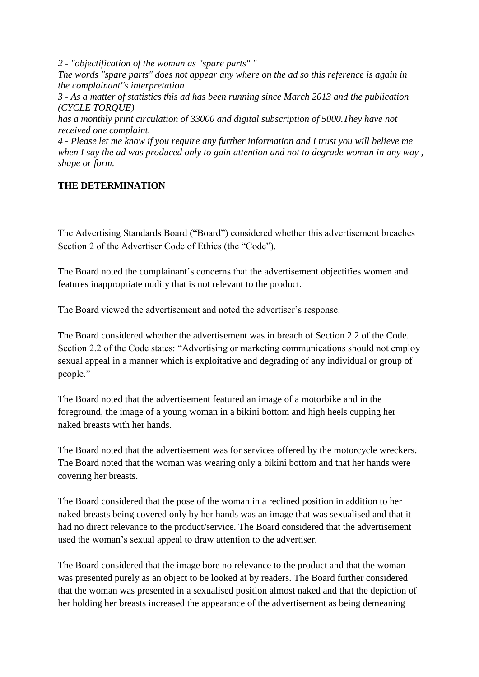*2 - "objectification of the woman as "spare parts" "*

*The words "spare parts" does not appear any where on the ad so this reference is again in the complainant''s interpretation*

*3 - As a matter of statistics this ad has been running since March 2013 and the publication (CYCLE TORQUE)*

*has a monthly print circulation of 33000 and digital subscription of 5000.They have not received one complaint.*

*4 - Please let me know if you require any further information and I trust you will believe me when I say the ad was produced only to gain attention and not to degrade woman in any way , shape or form.*

## **THE DETERMINATION**

The Advertising Standards Board ("Board") considered whether this advertisement breaches Section 2 of the Advertiser Code of Ethics (the "Code").

The Board noted the complainant's concerns that the advertisement objectifies women and features inappropriate nudity that is not relevant to the product.

The Board viewed the advertisement and noted the advertiser's response.

The Board considered whether the advertisement was in breach of Section 2.2 of the Code. Section 2.2 of the Code states: "Advertising or marketing communications should not employ sexual appeal in a manner which is exploitative and degrading of any individual or group of people."

The Board noted that the advertisement featured an image of a motorbike and in the foreground, the image of a young woman in a bikini bottom and high heels cupping her naked breasts with her hands.

The Board noted that the advertisement was for services offered by the motorcycle wreckers. The Board noted that the woman was wearing only a bikini bottom and that her hands were covering her breasts.

The Board considered that the pose of the woman in a reclined position in addition to her naked breasts being covered only by her hands was an image that was sexualised and that it had no direct relevance to the product/service. The Board considered that the advertisement used the woman's sexual appeal to draw attention to the advertiser.

The Board considered that the image bore no relevance to the product and that the woman was presented purely as an object to be looked at by readers. The Board further considered that the woman was presented in a sexualised position almost naked and that the depiction of her holding her breasts increased the appearance of the advertisement as being demeaning